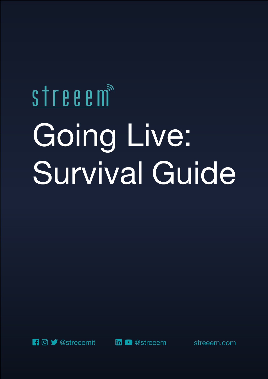# streeem Going Live: Survival Guide



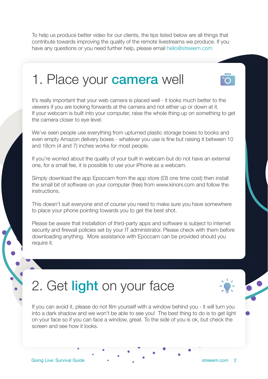To help us produce better video for our clients, the tips listed below are all things that contribute towards improving the quality of the remote livestreams we produce. If you have any questions or you need further help, please email hello@streeem.com

#### 1. Place your **camera** well

It's really important that your web camera is placed well - it looks much better to the viewers if you are looking forwards at the camera and not either up or down at it. If your webcam is built into your computer, raise the whole thing up on something to get the camera closer to eye level.

We've seen people use everything from upturned plastic storage boxes to books and even empty Amazon delivery boxes - whatever you use is fine but raising it between 10 and 18cm (4 and 7) inches works for most people.

If you're worried about the quality of your built in webcam but do not have an external one, for a small fee, it is possible to use your iPhone as a webcam.

Simply download the app Epoccam from the app store (£8 one time cost) then install the small bit of software on your computer (free) from www.kinoni.com and follow the instructions.

This doesn't suit everyone and of course you need to make sure you have somewhere to place your phone pointing towards you to get the best shot.

Please be aware that installation of third-party apps and software is subject to internet security and firewall policies set by your IT administrator. Please check with them before downloading anything. More assistance with Epoccam can be provided should you require it.

## 2. Get light on your face

If you can avoid it, please do not film yourself with a window behind you - it will turn you into a dark shadow and we won't be able to see you! The best thing to do is to get light on your face so if you can face a window, great. To the side of you is ok, but check the screen and see how it looks.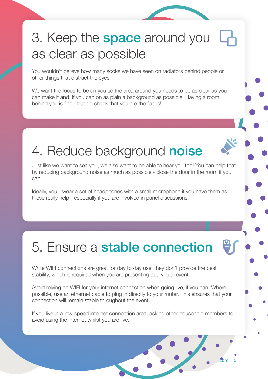## 3. Keep the **space** around you as clear as possible

You wouldn't believe how many socks we have seen on radiators behind people or other things that distract the eyes!

We want the focus to be on you so the area around you needs to be as clear as you can make it and, if you can on as plain a background as possible. Having a room behind you is fine - but do check that you are the focus!

## 4. Reduce background noise

Just like we want to see you, we also want to be able to hear you too! You can help that by reducing background noise as much as possible - close the door in the room if you can.

Ideally, you'll wear a set of headphones with a small microphone if you have them as these really help - especially if you are involved in panel discussions.

# 5. Ensure a stable connection

While WIFI connections are great for day to day use, they don't provide the best stability, which is required when you are presenting at a virtual event.

Avoid relying on WIFI for your internet connection when going live, if you can. Where possible, use an ethernet cable to plug in directly to your router. This ensures that your connection will remain stable throughout the event.

If you live in a low-speed internet connection area, asking other household members to avoid using the internet whilst you are live.

 $G = \frac{1}{2}$  Going  $\frac{1}{2}$   $\frac{1}{2}$   $\frac{1}{2}$   $\frac{1}{2}$   $\frac{1}{2}$   $\frac{1}{2}$   $\frac{1}{2}$   $\frac{1}{2}$   $\frac{1}{2}$   $\frac{1}{2}$   $\frac{1}{2}$   $\frac{1}{2}$   $\frac{1}{2}$   $\frac{1}{2}$   $\frac{1}{2}$   $\frac{1}{2}$   $\frac{1}{2}$   $\frac{1}{2}$   $\frac{1}{2}$   $\frac{1}{2}$   $\frac$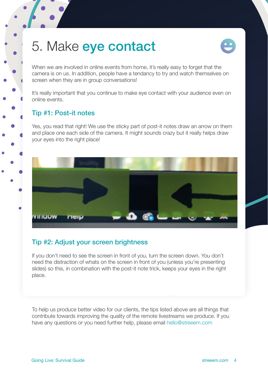#### 5. Make eye contact



When we are involved in online events from home, it's really easy to forget that the camera is on us. In addition, people have a tendancy to try and watch themselves on screen when they are in group conversations!

It's really important that you continue to make eye contact with your audience even on online events.

#### Tip #1: Post-it notes

Yes, you read that right! We use the sticky part of post-it notes draw an arrow on them and place one each side of the camera. It might sounds crazy but it really helps draw your eyes into the right place!



#### Tip #2: Adjust your screen brightness

If you don't need to see the screen in front of you, turn the screen down. You don't need the distraction of whats on the screen in front of you (unless you're presenting slides) so this, in combination with the post-it note trick, keeps your eyes in the right place.

To help us produce better video for our clients, the tips listed above are all things that contribute towards improving the quality of the remote livestreams we produce. If you have any questions or you need further help, please email hello@streeem.com